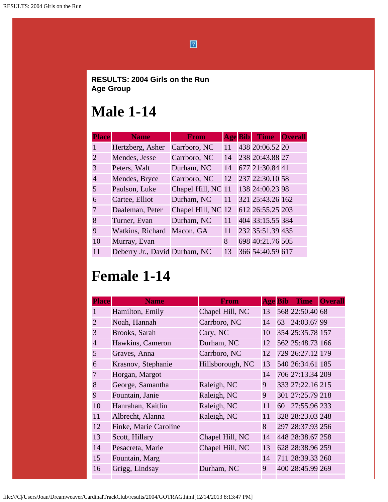$\boxed{2}$ 

#### **RESULTS: 2004 Girls on the Run Age Group**

#### **Male 1-14**

| <b>Place</b>                | <b>Name</b>                   | <b>From</b>        | <b>Age Bib</b> | <b>Time</b>      | <b>Overall</b> |
|-----------------------------|-------------------------------|--------------------|----------------|------------------|----------------|
| $\mathbf{1}$                | Hertzberg, Asher              | Carrboro, NC       | 11             | 438 20:06.52 20  |                |
| $\mathcal{D}_{\mathcal{L}}$ | Mendes, Jesse                 | Carrboro, NC       | 14             | 238 20:43.88 27  |                |
| 3                           | Peters, Walt                  | Durham, NC         | 14             | 677 21:30.84 41  |                |
| 4                           | Mendes, Bryce                 | Carrboro, NC       | 12             | 237 22:30.10 58  |                |
| 5                           | Paulson, Luke                 | Chapel Hill, NC 11 |                | 138 24:00.23 98  |                |
| 6                           | Cartee, Elliot                | Durham, NC         | 11             | 321 25:43.26 162 |                |
| 7                           | Daaleman, Peter               | Chapel Hill, NC 12 |                | 612 26:55.25 203 |                |
| 8                           | Turner, Evan                  | Durham, NC         | 11             | 404 33:15.55 384 |                |
| 9                           | Watkins, Richard              | Macon, GA          | 11             | 232 35:51.39 435 |                |
| 10                          | Murray, Evan                  |                    | 8              | 698 40:21.76 505 |                |
| 11                          | Deberry Jr., David Durham, NC |                    | 13             | 366 54:40.59 617 |                |

# **Female 1-14**

| <b>Place</b>   | <b>Name</b>           | <b>From</b>      | <b>Age Bib</b> |    | <b>Time</b>      | <b>Overall</b> |
|----------------|-----------------------|------------------|----------------|----|------------------|----------------|
|                | Hamilton, Emily       | Chapel Hill, NC  | 13             |    | 568 22:50.40 68  |                |
| $\overline{2}$ | Noah, Hannah          | Carrboro, NC     | 14             | 63 | 24:03.67 99      |                |
| 3              | Brooks, Sarah         | Cary, NC         | 10             |    | 354 25:35.78 157 |                |
| $\overline{4}$ | Hawkins, Cameron      | Durham, NC       | 12             |    | 562 25:48.73 166 |                |
| 5              | Graves, Anna          | Carrboro, NC     | 12             |    | 729 26:27.12 179 |                |
| 6              | Krasnov, Stephanie    | Hillsborough, NC | 13             |    | 540 26:34.61 185 |                |
| 7              | Horgan, Margot        |                  | 14             |    | 706 27:13.34 209 |                |
| 8              | George, Samantha      | Raleigh, NC      | 9              |    | 333 27:22.16 215 |                |
| 9              | Fountain, Janie       | Raleigh, NC      | 9              |    | 301 27:25.79 218 |                |
| 10             | Hanrahan, Kaitlin     | Raleigh, NC      | 11             |    | 60 27:55.96 233  |                |
| 11             | Albrecht, Alanna      | Raleigh, NC      | 11             |    | 328 28:23.03 248 |                |
| 12             | Finke, Marie Caroline |                  | 8              |    | 297 28:37.93 256 |                |
| 13             | Scott, Hillary        | Chapel Hill, NC  | 14             |    | 448 28:38.67 258 |                |
| 14             | Pesacreta, Marie      | Chapel Hill, NC  | 13             |    | 628 28:38.96 259 |                |
| 15             | Fountain, Marg        |                  | 14             |    | 711 28:39.33 260 |                |
| 16             | Grigg, Lindsay        | Durham, NC       | 9              |    | 400 28:45.99 269 |                |
|                |                       |                  |                |    |                  |                |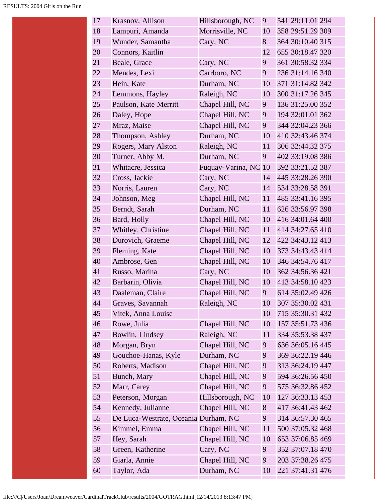| 17 | Krasnov, Allison                     | Hillsborough, NC     | 9     | 541 29:11.01 294 |  |
|----|--------------------------------------|----------------------|-------|------------------|--|
| 18 | Lampuri, Amanda                      | Morrisville, NC      | 10    | 358 29:51.29 309 |  |
| 19 | Wunder, Samantha                     | Cary, NC             | 8     | 364 30:10.40 315 |  |
| 20 | Connors, Kaitlin                     |                      | 12    | 655 30:18.47 320 |  |
| 21 | Beale, Grace                         | Cary, NC             | 9     | 361 30:58.32 334 |  |
| 22 | Mendes, Lexi                         | Carrboro, NC         | 9     | 236 31:14.16 340 |  |
| 23 | Hein, Kate                           | Durham, NC           | 10    | 371 31:14.82 342 |  |
| 24 | Lemmons, Hayley                      | Raleigh, NC          | 10    | 300 31:17.26 345 |  |
| 25 | Paulson, Kate Merritt                | Chapel Hill, NC      | 9     | 136 31:25.00 352 |  |
| 26 | Daley, Hope                          | Chapel Hill, NC      | 9     | 194 32:01.01 362 |  |
| 27 | Mraz, Maise                          | Chapel Hill, NC      | 9     | 344 32:04.23 366 |  |
| 28 | Thompson, Ashley                     | Durham, NC           | 10    | 410 32:43.46 374 |  |
| 29 | Rogers, Mary Alston                  | Raleigh, NC          | 11    | 306 32:44.32 375 |  |
| 30 | Turner, Abby M.                      | Durham, NC           | 9     | 402 33:19.08 386 |  |
| 31 | Whitacre, Jessica                    | Fuquay-Varina, NC 10 |       | 392 33:21.52 387 |  |
| 32 | Cross, Jackie                        | Cary, NC             | 14    | 445 33:28.26 390 |  |
| 33 | Norris, Lauren                       | Cary, NC             | 14    | 534 33:28.58 391 |  |
| 34 | Johnson, Meg                         | Chapel Hill, NC      | 11    | 485 33:41.16 395 |  |
| 35 | Berndt, Sarah                        | Durham, NC           | 11    | 626 33:56.97 398 |  |
| 36 | Bard, Holly                          | Chapel Hill, NC      | 10    | 416 34:01.64 400 |  |
| 37 | Whitley, Christine                   | Chapel Hill, NC      | 11    | 414 34:27.65 410 |  |
| 38 | Durovich, Graeme                     | Chapel Hill, NC      | 12    | 422 34:43.12 413 |  |
| 39 | Fleming, Kate                        | Chapel Hill, NC      | 10    | 373 34:43.43 414 |  |
| 40 | Ambrose, Gen                         | Chapel Hill, NC      | 10    | 346 34:54.76 417 |  |
| 41 | Russo, Marina                        | Cary, NC             | 10    | 362 34:56.36 421 |  |
| 42 | Barbarin, Olivia                     | Chapel Hill, NC      | 10    | 413 34:58.10 423 |  |
| 43 | Daaleman, Claire                     | Chapel Hill, NC      | 9     | 614 35:02.49 426 |  |
| 44 | Graves, Savannah                     | Raleigh, NC          | 10    | 307 35:30.02 431 |  |
| 45 | Vitek, Anna Louise                   |                      | 10    | 715 35:30.31 432 |  |
| 46 | Rowe, Julia                          | Chapel Hill, NC      | 10    | 157 35:51.73 436 |  |
| 47 | Bowlin, Lindsey                      | Raleigh, NC          | 11    | 334 35:53.38 437 |  |
| 48 | Morgan, Bryn                         | Chapel Hill, NC      | 9     | 636 36:05.16 445 |  |
| 49 | Gouchoe-Hanas, Kyle                  | Durham, NC           | 9     | 369 36:22.19 446 |  |
| 50 | Roberts, Madison                     | Chapel Hill, NC      | 9     | 313 36:24.19 447 |  |
| 51 | Bunch, Mary                          | Chapel Hill, NC      | 9     | 594 36:26.56 450 |  |
| 52 | Marr, Carey                          | Chapel Hill, NC      | 9     | 575 36:32.86 452 |  |
| 53 | Peterson, Morgan                     | Hillsborough, NC     | 10    | 127 36:33.13 453 |  |
| 54 | Kennedy, Julianne                    | Chapel Hill, NC      | $8\,$ | 417 36:41.43 462 |  |
| 55 | De Luca-Westrate, Oceania Durham, NC |                      | 9     | 314 36:57.30 465 |  |
| 56 | Kimmel, Emma                         | Chapel Hill, NC      | 11    | 500 37:05.32 468 |  |
| 57 | Hey, Sarah                           | Chapel Hill, NC      | 10    | 653 37:06.85 469 |  |
| 58 | Green, Katherine                     | Cary, NC             | 9     | 352 37:07.18 470 |  |
| 59 | Giarla, Annie                        | Chapel Hill, NC      | 9     | 203 37:38.26 475 |  |
| 60 | Taylor, Ada                          | Durham, NC           | 10    | 221 37:41.31 476 |  |
|    |                                      |                      |       |                  |  |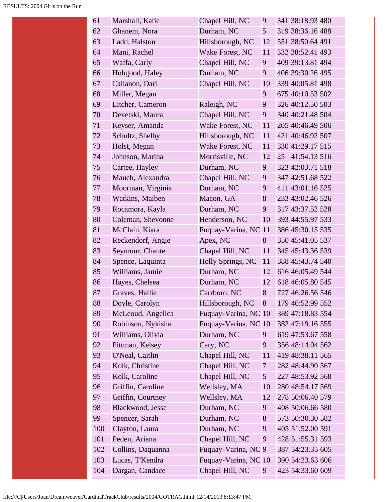| 61  | Marshall, Katie   | Chapel Hill, NC      | 9              | 341 38:18.93 480 |
|-----|-------------------|----------------------|----------------|------------------|
| 62  | Ghanem, Nora      | Durham, NC           | 5              | 319 38:36.16 488 |
| 63  | Ladd, Halston     | Hillsborough, NC     | 12             | 551 38:50.64 491 |
| 64  | Mani, Rachel      | Wake Forest, NC      | 11             | 332 38:52.41 493 |
| 65  | Waffa, Carly      | Chapel Hill, NC      | 9              | 409 39:13.81 494 |
| 66  | Hobgood, Haley    | Durham, NC           | 9              | 406 39:30.26 495 |
| 67  | Callanon, Dari    | Chapel Hill, NC      | 10             | 339 40:05.81 498 |
| 68  | Miller, Megan     |                      | 9              | 675 40:10.53 502 |
| 69  | Litcher, Cameron  | Raleigh, NC          | 9              | 326 40:12.50 503 |
| 70  | Devetski, Maura   | Chapel Hill, NC      | 9              | 340 40:21.48 504 |
| 71  | Keyser, Amanda    | Wake Forest, NC      | 11             | 205 40:46.49 506 |
| 72  | Schultz, Shelby   | Hillsborough, NC     | 11             | 421 40:46.92 507 |
| 73  | Holst, Megan      | Wake Forest, NC      | 11             | 330 41:29.17 515 |
| 74  | Johnson, Marina   | Morrisville, NC      | 12             | 25 41:54.13 516  |
| 75  | Cartee, Hayley    | Durham, NC           | 9              | 323 42:03.71 518 |
| 76  | Mauch, Alexandra  | Chapel Hill, NC      | 9              | 347 42:51.68 522 |
| 77  | Moorman, Virginia | Durham, NC           | 9              | 411 43:01.16 525 |
| 78  | Watkins, Maiben   | Macon, GA            | 8              | 233 43:02.46 526 |
| 79  | Rocamora, Kayla   | Durham, NC           | 9              | 317 43:37.52 528 |
| 80  | Coleman, Shevonne | Henderson, NC        | 10             | 393 44:55.97 533 |
| 81  | McClain, Kiara    | Fuquay-Varina, NC 11 |                | 386 45:30.15 535 |
| 82  | Reckendorf, Angie | Apex, NC             | 8              | 350 45:41.05 537 |
| 83  | Seymour, Chante   | Chapel Hill, NC      | 11             | 345 45:43.36 539 |
| 84  | Spence, Laquinta  | Holly Springs, NC    | 11             | 388 45:43.74 540 |
| 85  | Williams, Jamie   | Durham, NC           | 12             | 616 46:05.49 544 |
| 86  | Hayes, Chelsea    | Durham, NC           | 12             | 618 46:05.80 545 |
| 87  | Graves, Hallie    | Carrboro, NC         | 8              | 727 46:26.56 546 |
| 88  | Doyle, Carolyn    | Hillsborough, NC     | 8              | 179 46:52.99 552 |
| 89  | McLeoud, Angelica | Fuquay-Varina, NC 10 |                | 389 47:18.83 554 |
| 90  | Robinson, Nykisha | Fuquay-Varina, NC 10 |                | 382 47:19.16 555 |
| 91  | Williams, Olivia  | Durham, NC           | 9              | 619 47:53.67 558 |
| 92  | Pittman, Kelsey   | Cary, NC             | 9              | 356 48:14.04 562 |
| 93  | O'Neal, Caitlin   | Chapel Hill, NC      | 11             | 419 48:38.11 565 |
| 94  | Kolk, Christine   | Chapel Hill, NC      | 7              | 282 48:44.90 567 |
| 95  | Kolk, Caroline    | Chapel Hill, NC      | 5 <sup>5</sup> | 227 48:53.92 568 |
| 96  | Griffin, Caroline | Wellsley, MA         | 10             | 280 48:54.17 569 |
| 97  | Griffin, Courtney | Wellsley, MA         | 12             | 278 50:06.40 579 |
| 98  | Blackwood, Jesse  | Durham, NC           | 9              | 408 50:06.66 580 |
| 99  | Spencer, Sarah    | Durham, NC           | 8              | 573 50:30.30 582 |
| 100 | Clayton, Laura    | Durham, NC           | 9              | 405 51:52.00 591 |
| 101 | Peden, Ariana     | Chapel Hill, NC      | 9              | 428 51:55.31 593 |
| 102 | Collins, Daquanna | Fuquay-Varina, NC 9  |                | 387 54:23.35 605 |
| 103 | Lucas, T'Kendra   | Fuquay-Varina, NC 10 |                | 390 54:23.63 606 |
| 104 | Dargan, Candace   | Chapel Hill, NC      | 9              | 423 54:33.60 609 |
|     |                   |                      |                |                  |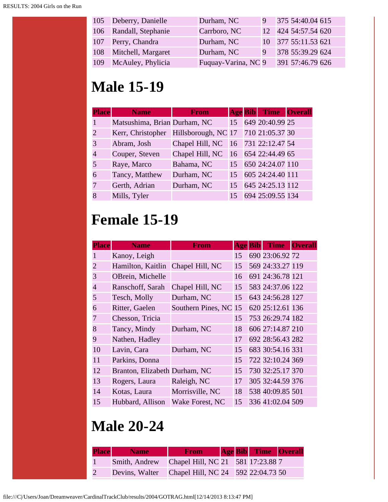|     | 105 Deberry, Danielle  | Durham, NC          |              | 375 54:40.04 615    |  |
|-----|------------------------|---------------------|--------------|---------------------|--|
|     | 106 Randall, Stephanie | Carrboro, NC        |              | 12 424 54:57.54 620 |  |
|     | 107 Perry, Chandra     | Durham, NC          |              | 10 377 55:11.53 621 |  |
|     | 108 Mitchell, Margaret | Durham, NC          | <sup>9</sup> | 378 55:39.29 624    |  |
| 109 | McAuley, Phylicia      | Fuquay-Varina, NC 9 |              | 391 57:46.79 626    |  |

# **Male 15-19**

| <b>Place</b>                | <b>Name</b>                                           | <b>From</b>                        |    | <b>Age Bib</b> Time Overall |  |
|-----------------------------|-------------------------------------------------------|------------------------------------|----|-----------------------------|--|
|                             | Matsushima, Brian Durham, NC                          |                                    | 15 | 649 20:40.99 25             |  |
| $\mathcal{D}_{\mathcal{L}}$ | Kerr, Christopher Hillsborough, NC 17 710 21:05.37 30 |                                    |    |                             |  |
| 3                           | Abram, Josh                                           | Chapel Hill, NC 16 731 22:12.47 54 |    |                             |  |
|                             | Couper, Steven                                        | Chapel Hill, NC                    |    | 16 654 22:44.49 65          |  |
|                             | Raye, Marco                                           | Bahama, NC                         |    | 15 650 24:24.07 110         |  |
| 6                           | Tancy, Matthew                                        | Durham, NC                         |    | 15 605 24:24.40 111         |  |
|                             | Gerth, Adrian                                         | Durham, NC                         | 15 | 645 24:25.13 112            |  |
|                             | Mills, Tyler                                          |                                    | 15 | 694 25:09.55 134            |  |

## **Female 15-19**

| <b>Place</b>   | <b>Name</b>                   | From                  | <b>Age Bib</b> | <b>Time</b>      | <b>Overall</b> |
|----------------|-------------------------------|-----------------------|----------------|------------------|----------------|
|                | Kanoy, Leigh                  |                       | 15             | 690 23:06.92 72  |                |
| $\overline{2}$ | Hamilton, Kaitlin             | Chapel Hill, NC       | 15             | 569 24:33.27 119 |                |
| 3              | OBrein, Michelle              |                       | 16             | 691 24:36.78 121 |                |
| $\overline{4}$ | Ranschoff, Sarah              | Chapel Hill, NC       | 15             | 583 24:37.06 122 |                |
| 5              | Tesch, Molly                  | Durham, NC            | 15             | 643 24:56.28 127 |                |
| 6              | Ritter, Gaelen                | Southern Pines, NC 15 |                | 620 25:12.61 136 |                |
| 7              | Chesson, Tricia               |                       | 15             | 753 26:29.74 182 |                |
| 8              | Tancy, Mindy                  | Durham, NC            | 18             | 606 27:14.87 210 |                |
| 9              | Nathen, Hadley                |                       | 17             | 692 28:56.43 282 |                |
| 10             | Lavin, Cara                   | Durham, NC            | 15             | 683 30:54.16 331 |                |
| 11             | Parkins, Donna                |                       | 15             | 722 32:10.24 369 |                |
| 12             | Branton, Elizabeth Durham, NC |                       | 15             | 730 32:25.17 370 |                |
| 13             | Rogers, Laura                 | Raleigh, NC           | 17             | 305 32:44.59 376 |                |
| 14             | Kotas, Laura                  | Morrisville, NC       | 18             | 538 40:09.85 501 |                |
| 15             | Hubbard, Allison              | Wake Forest, NC       | 15             | 336 41:02.04 509 |                |

# **Male 20-24**

| <b>Place</b> Name                                 | <b>From</b> |  | <b>Age Bib</b> Time Overall |  |
|---------------------------------------------------|-------------|--|-----------------------------|--|
| Smith, Andrew Chapel Hill, NC 21 581 17:23.88 7   |             |  |                             |  |
| Devins, Walter Chapel Hill, NC 24 592 22:04.73 50 |             |  |                             |  |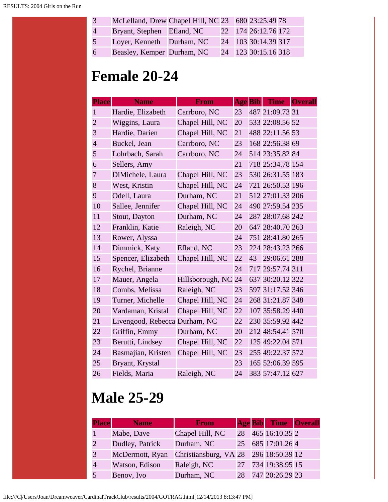| 3 <sup>1</sup> | McLelland, Drew Chapel Hill, NC 23 680 23:25.49 78 |  |                     |  |
|----------------|----------------------------------------------------|--|---------------------|--|
| $\overline{4}$ | Bryant, Stephen Efland, NC                         |  | 22 174 26:12.76 172 |  |
| 5              | Loyer, Kenneth Durham, NC                          |  | 24 103 30:14.39 317 |  |
| 6              | Beasley, Kemper Durham, NC                         |  | 24 123 30:15.16 318 |  |

## **Female 20-24**

| <b>Place</b>   | <b>Name</b>                   | From             | <b>Age Bib</b> |    | <b>Time</b>      | <b>Overall</b> |
|----------------|-------------------------------|------------------|----------------|----|------------------|----------------|
| $\mathbf{1}$   | Hardie, Elizabeth             | Carrboro, NC     | 23             |    | 487 21:09.73 31  |                |
| $\overline{2}$ | Wiggins, Laura                | Chapel Hill, NC  | 20             |    | 533 22:08.56 52  |                |
| 3              | Hardie, Darien                | Chapel Hill, NC  | 21             |    | 488 22:11.56 53  |                |
| $\overline{4}$ | Buckel, Jean                  | Carrboro, NC     | 23             |    | 168 22:56.38 69  |                |
| 5              | Lohrbach, Sarah               | Carrboro, NC     | 24             |    | 514 23:35.82 84  |                |
| 6              | Sellers, Amy                  |                  | 21             |    | 718 25:34.78 154 |                |
| 7              | DiMichele, Laura              | Chapel Hill, NC  | 23             |    | 530 26:31.55 183 |                |
| 8              | West, Kristin                 | Chapel Hill, NC  | 24             |    | 721 26:50.53 196 |                |
| 9              | Odell, Laura                  | Durham, NC       | 21             |    | 512 27:01.33 206 |                |
| 10             | Sallee, Jennifer              | Chapel Hill, NC  | 24             |    | 490 27:59.54 235 |                |
| 11             | Stout, Dayton                 | Durham, NC       | 24             |    | 287 28:07.68 242 |                |
| 12             | Franklin, Katie               | Raleigh, NC      | 20             |    | 647 28:40.70 263 |                |
| 13             | Rower, Alyssa                 |                  | 24             |    | 751 28:41.80 265 |                |
| 14             | Dimmick, Katy                 | Efland, NC       | 23             |    | 224 28:43.23 266 |                |
| 15             | Spencer, Elizabeth            | Chapel Hill, NC  | 22             | 43 | 29:06.61 288     |                |
| 16             | Rychel, Brianne               |                  | 24             |    | 717 29:57.74 311 |                |
| 17             | Mauer, Angela                 | Hillsborough, NC | 24             |    | 637 30:20.12 322 |                |
| 18             | Combs, Melissa                | Raleigh, NC      | 23             |    | 597 31:17.52 346 |                |
| 19             | Turner, Michelle              | Chapel Hill, NC  | 24             |    | 268 31:21.87 348 |                |
| 20             | Vardaman, Kristal             | Chapel Hill, NC  | 22             |    | 107 35:58.29 440 |                |
| 21             | Livengood, Rebecca Durham, NC |                  | 22             |    | 230 35:59.92 442 |                |
| 22             | Griffin, Emmy                 | Durham, NC       | 20             |    | 212 48:54.41 570 |                |
| 23             | Berutti, Lindsey              | Chapel Hill, NC  | 22             |    | 125 49:22.04 571 |                |
| 24             | Basmajian, Kristen            | Chapel Hill, NC  | 23             |    | 255 49:22.37 572 |                |
| 25             | Bryant, Krystal               |                  | 23             |    | 165 52:06.39 595 |                |
| 26             | Fields, Maria                 | Raleigh, NC      | 24             |    | 383 57:47.12 627 |                |

# **Male 25-29**

| <b>Place</b>  | <b>Name</b>     | <b>From</b>                           |    | <b>Age Bib</b> Time Overall |  |
|---------------|-----------------|---------------------------------------|----|-----------------------------|--|
|               | Mabe, Dave      | Chapel Hill, NC                       | 28 | 465 16:10.35 2              |  |
| $\mathcal{D}$ | Dudley, Patrick | Durham, NC                            |    | 25 685 17:01.26 4           |  |
| 3             | McDermott, Ryan | Christiansburg, VA 28 296 18:50.39 12 |    |                             |  |
|               | Watson, Edison  | Raleigh, NC                           | 27 | 734 19:38.95 15             |  |
|               | Benov, Ivo      | Durham, NC                            | 28 | 747 20:26.29 23             |  |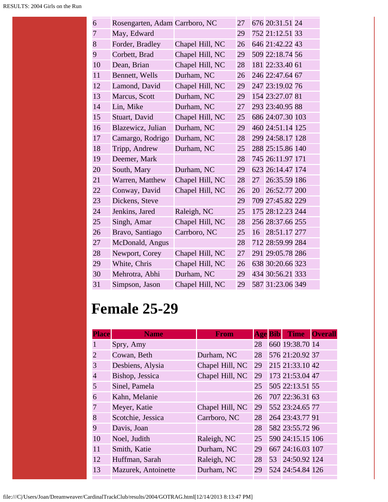| 6              | Rosengarten, Adam Carrboro, NC |                 | 27 |    | 676 20:31.51 24  |  |
|----------------|--------------------------------|-----------------|----|----|------------------|--|
| $\overline{7}$ | May, Edward                    |                 | 29 |    | 752 21:12.51 33  |  |
| 8              | Forder, Bradley                | Chapel Hill, NC | 26 |    | 646 21:42.22 43  |  |
| 9              | Corbett, Brad                  | Chapel Hill, NC | 29 |    | 509 22:18.74 56  |  |
| 10             | Dean, Brian                    | Chapel Hill, NC | 28 |    | 181 22:33.40 61  |  |
| 11             | Bennett, Wells                 | Durham, NC      | 26 |    | 246 22:47.64 67  |  |
| 12             | Lamond, David                  | Chapel Hill, NC | 29 |    | 247 23:19.02 76  |  |
| 13             | Marcus, Scott                  | Durham, NC      | 29 |    | 154 23:27.07 81  |  |
| 14             | Lin, Mike                      | Durham, NC      | 27 |    | 293 23:40.95 88  |  |
| 15             | Stuart, David                  | Chapel Hill, NC | 25 |    | 686 24:07.30 103 |  |
| 16             | Blazewicz, Julian              | Durham, NC      | 29 |    | 460 24:51.14 125 |  |
| 17             | Camargo, Rodrigo               | Durham, NC      | 28 |    | 299 24:58.17 128 |  |
| 18             | Tripp, Andrew                  | Durham, NC      | 25 |    | 288 25:15.86 140 |  |
| 19             | Deemer, Mark                   |                 | 28 |    | 745 26:11.97 171 |  |
| 20             | South, Mary                    | Durham, NC      | 29 |    | 623 26:14.47 174 |  |
| 21             | Warren, Matthew                | Chapel Hill, NC | 28 | 27 | 26:35.59 186     |  |
| 22             | Conway, David                  | Chapel Hill, NC | 26 | 20 | 26:52.77 200     |  |
| 23             | Dickens, Steve                 |                 | 29 |    | 709 27:45.82 229 |  |
| 24             | Jenkins, Jared                 | Raleigh, NC     | 25 |    | 175 28:12.23 244 |  |
| 25             | Singh, Amar                    | Chapel Hill, NC | 28 |    | 256 28:37.66 255 |  |
| 26             | Bravo, Santiago                | Carrboro, NC    | 25 | 16 | 28:51.17 277     |  |
| 27             | McDonald, Angus                |                 | 28 |    | 712 28:59.99 284 |  |
| 28             | Newport, Corey                 | Chapel Hill, NC | 27 |    | 291 29:05.78 286 |  |
| 29             | White, Chris                   | Chapel Hill, NC | 26 |    | 638 30:20.66 323 |  |
| 30             | Mehrotra, Abhi                 | Durham, NC      | 29 |    | 434 30:56.21 333 |  |
| 31             | Simpson, Jason                 | Chapel Hill, NC | 29 |    | 587 31:23.06 349 |  |

#### **Female 25-29**

| <b>Place</b>   | <b>Name</b>         | From            | <b>Age Bib</b> | <b>Time</b>      | <b>Overall</b> |
|----------------|---------------------|-----------------|----------------|------------------|----------------|
| 1              | Spry, Amy           |                 | 28             | 660 19:38.70 14  |                |
| $\overline{c}$ | Cowan, Beth         | Durham, NC      | 28             | 576 21:20.92 37  |                |
| 3              | Desbiens, Alysia    | Chapel Hill, NC | 29             | 215 21:33.10 42  |                |
| 4              | Bishop, Jessica     | Chapel Hill, NC | 29             | 173 21:53.04 47  |                |
| 5              | Sinel, Pamela       |                 | 25             | 505 22:13.51 55  |                |
| 6              | Kahn, Melanie       |                 | 26             | 707 22:36.31 63  |                |
| 7              | Meyer, Katie        | Chapel Hill, NC | 29             | 552 23:24.65 77  |                |
| 8              | Scotchie, Jessica   | Carrboro, NC    | 28             | 264 23:43.77 91  |                |
| 9              | Davis, Joan         |                 | 28             | 582 23:55.72 96  |                |
| 10             | Noel, Judith        | Raleigh, NC     | 25             | 590 24:15.15 106 |                |
| 11             | Smith, Katie        | Durham, NC      | 29             | 667 24:16.03 107 |                |
| 12             | Huffman, Sarah      | Raleigh, NC     | 28             | 53 24:50.92 124  |                |
| 13             | Mazurek, Antoinette | Durham, NC      | 29             | 524 24:54.84 126 |                |
|                |                     |                 |                |                  |                |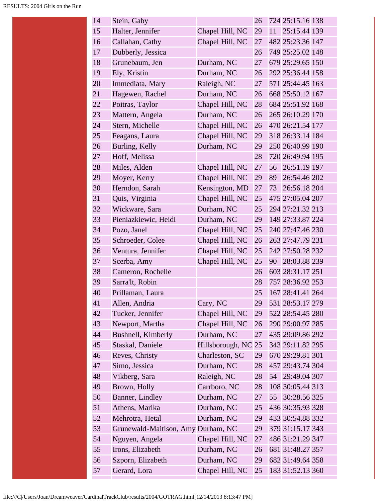| 14 | Stein, Gaby                        |                  | 26 |    | 724 25:15.16 138 |  |
|----|------------------------------------|------------------|----|----|------------------|--|
| 15 | Halter, Jennifer                   | Chapel Hill, NC  | 29 | 11 | 25:15.44 139     |  |
| 16 | Callahan, Cathy                    | Chapel Hill, NC  | 27 |    | 482 25:23.36 147 |  |
| 17 | Dubberly, Jessica                  |                  | 26 |    | 749 25:25.02 148 |  |
| 18 | Grunebaum, Jen                     | Durham, NC       | 27 |    | 679 25:29.65 150 |  |
| 19 | Ely, Kristin                       | Durham, NC       | 26 |    | 292 25:36.44 158 |  |
| 20 | Immediata, Mary                    | Raleigh, NC      | 27 |    | 571 25:44.45 163 |  |
| 21 | Hagewen, Rachel                    | Durham, NC       | 26 |    | 668 25:50.12 167 |  |
| 22 | Poitras, Taylor                    | Chapel Hill, NC  | 28 |    | 684 25:51.92 168 |  |
| 23 | Mattern, Angela                    | Durham, NC       | 26 |    | 265 26:10.29 170 |  |
| 24 | Stern, Michelle                    | Chapel Hill, NC  | 26 |    | 470 26:21.54 177 |  |
| 25 | Feagans, Laura                     | Chapel Hill, NC  | 29 |    | 318 26:33.14 184 |  |
| 26 | Burling, Kelly                     | Durham, NC       | 29 |    | 250 26:40.99 190 |  |
| 27 | Hoff, Melissa                      |                  | 28 |    | 720 26:49.94 195 |  |
| 28 | Miles, Alden                       | Chapel Hill, NC  | 27 | 56 | 26:51.19 197     |  |
| 29 | Moyer, Kerry                       | Chapel Hill, NC  | 29 | 89 | 26:54.46 202     |  |
| 30 | Herndon, Sarah                     | Kensington, MD   | 27 | 73 | 26:56.18 204     |  |
| 31 | Quis, Virginia                     | Chapel Hill, NC  | 25 |    | 475 27:05.04 207 |  |
| 32 | Wickware, Sara                     | Durham, NC       | 25 |    | 294 27:21.32 213 |  |
| 33 | Pieniazkiewic, Heidi               | Durham, NC       | 29 |    | 149 27:33.87 224 |  |
| 34 | Pozo, Janel                        | Chapel Hill, NC  | 25 |    | 240 27:47.46 230 |  |
| 35 | Schroeder, Colee                   | Chapel Hill, NC  | 26 |    | 263 27:47.79 231 |  |
| 36 | Ventura, Jennifer                  | Chapel Hill, NC  | 25 |    | 242 27:50.28 232 |  |
| 37 | Scerba, Amy                        | Chapel Hill, NC  | 25 | 90 | 28:03.88 239     |  |
| 38 | Cameron, Rochelle                  |                  | 26 |    | 603 28:31.17 251 |  |
| 39 | Sarra'lt, Robin                    |                  | 28 |    | 757 28:36.92 253 |  |
| 40 | Prillaman, Laura                   |                  | 25 |    | 167 28:41.41 264 |  |
| 41 | Allen, Andria                      | Cary, NC         | 29 |    | 531 28:53.17 279 |  |
| 42 | Tucker, Jennifer                   | Chapel Hill, NC  | 29 |    | 522 28:54.45 280 |  |
| 43 | Newport, Martha                    | Chapel Hill, NC  | 26 |    | 290 29:00.97 285 |  |
| 44 | Bushnell, Kimberly                 | Durham, NC       | 27 |    | 435 29:09.86 292 |  |
| 45 | Staskal, Daniele                   | Hillsborough, NC | 25 |    | 343 29:11.82 295 |  |
| 46 | Reves, Christy                     | Charleston, SC   | 29 |    | 670 29:29.81 301 |  |
| 47 | Simo, Jessica                      | Durham, NC       | 28 |    | 457 29:43.74 304 |  |
| 48 | Vikberg, Sara                      | Raleigh, NC      | 28 | 54 | 29:49.04 307     |  |
| 49 | Brown, Holly                       | Carrboro, NC     | 28 |    | 108 30:05.44 313 |  |
| 50 | Banner, Lindley                    | Durham, NC       | 27 | 55 | 30:28.56 325     |  |
| 51 | Athens, Marika                     | Durham, NC       | 25 |    | 436 30:35.93 328 |  |
| 52 | Mehrotra, Hetal                    | Durham, NC       | 29 |    | 433 30:54.88 332 |  |
| 53 | Grunewald-Maitison, Amy Durham, NC |                  | 29 |    | 379 31:15.17 343 |  |
| 54 | Nguyen, Angela                     | Chapel Hill, NC  | 27 |    | 486 31:21.29 347 |  |
| 55 | Irons, Elizabeth                   | Durham, NC       | 26 |    | 681 31:48.27 357 |  |
| 56 | Szporn, Elizabeth                  | Durham, NC       | 29 |    | 682 31:49.64 358 |  |
| 57 | Gerard, Lora                       | Chapel Hill, NC  | 25 |    | 183 31:52.13 360 |  |
|    |                                    |                  |    |    |                  |  |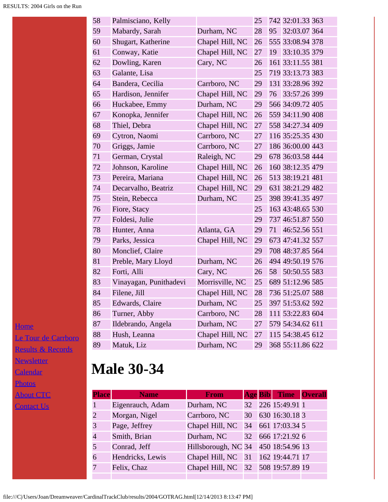| 58 | Palmisciano, Kelly     |                 | 25 |    | 742 32:01.33 363 |  |
|----|------------------------|-----------------|----|----|------------------|--|
| 59 | Mabardy, Sarah         | Durham, NC      | 28 | 95 | 32:03.07 364     |  |
| 60 | Shugart, Katherine     | Chapel Hill, NC | 26 |    | 555 33:08.94 378 |  |
| 61 | Conway, Katie          | Chapel Hill, NC | 27 | 19 | 33:10.35 379     |  |
| 62 | Dowling, Karen         | Cary, NC        | 26 |    | 161 33:11.55 381 |  |
| 63 | Galante, Lisa          |                 | 25 |    | 719 33:13.73 383 |  |
| 64 | Bandera, Cecilia       | Carrboro, NC    | 29 |    | 131 33:28.96 392 |  |
| 65 | Hardison, Jennifer     | Chapel Hill, NC | 29 | 76 | 33:57.26 399     |  |
| 66 | Huckabee, Emmy         | Durham, NC      | 29 |    | 566 34:09.72 405 |  |
| 67 | Konopka, Jennifer      | Chapel Hill, NC | 26 |    | 559 34:11.90 408 |  |
| 68 | Thiel, Debra           | Chapel Hill, NC | 27 |    | 558 34:27.34 409 |  |
| 69 | Cytron, Naomi          | Carrboro, NC    | 27 |    | 116 35:25.35 430 |  |
| 70 | Griggs, Jamie          | Carrboro, NC    | 27 |    | 186 36:00.00 443 |  |
| 71 | German, Crystal        | Raleigh, NC     | 29 |    | 678 36:03.58 444 |  |
| 72 | Johnson, Karoline      | Chapel Hill, NC | 26 |    | 160 38:12.35 479 |  |
| 73 | Pereira, Mariana       | Chapel Hill, NC | 26 |    | 513 38:19.21 481 |  |
| 74 | Decarvalho, Beatriz    | Chapel Hill, NC | 29 |    | 631 38:21.29 482 |  |
| 75 | Stein, Rebecca         | Durham, NC      | 25 |    | 398 39:41.35 497 |  |
| 76 | Fiore, Stacy           |                 | 25 |    | 163 43:48.65 530 |  |
| 77 | Foldesi, Julie         |                 | 29 |    | 737 46:51.87 550 |  |
| 78 | Hunter, Anna           | Atlanta, GA     | 29 | 71 | 46:52.56 551     |  |
| 79 | Parks, Jessica         | Chapel Hill, NC | 29 |    | 673 47:41.32 557 |  |
| 80 | Monclief, Claire       |                 | 29 |    | 708 48:37.85 564 |  |
| 81 | Preble, Mary Lloyd     | Durham, NC      | 26 |    | 494 49:50.19 576 |  |
| 82 | Forti, Alli            | Cary, NC        | 26 | 58 | 50:50.55 583     |  |
| 83 | Vinayagan, Punithadevi | Morrisville, NC | 25 |    | 689 51:12.96 585 |  |
| 84 | Filene, Jill           | Chapel Hill, NC | 28 |    | 736 51:25.07 588 |  |
| 85 | Edwards, Claire        | Durham, NC      | 25 |    | 397 51:53.62 592 |  |
| 86 | Turner, Abby           | Carrboro, NC    | 28 |    | 111 53:22.83 604 |  |
| 87 | Ildebrando, Angela     | Durham, NC      | 27 |    | 579 54:34.62 611 |  |
| 88 | Hush, Leanna           | Chapel Hill, NC | 27 |    | 115 54:38.45 612 |  |
| 89 | Matuk, Liz             | Durham, NC      | 29 |    | 368 55:11.86 622 |  |

**[Home](file:///home.html)** [Le Tour de Carrboro](file:///letourdecarrboro.html) [Results & Records](file:///results.html) [Newsletter](file:///newsletterSignup.html) [Calendar](file:///page/page/8345191.htm) **[Photos](file:///photos.html) [About CTC](file:///about.html)** [Contact Us](file:///contactUs.html)

# **Male 30-34**

| <b>Place</b>                | <b>Name</b>      | <b>From</b>                         |  | <b>Age Bib</b> Time Overall |  |
|-----------------------------|------------------|-------------------------------------|--|-----------------------------|--|
|                             | Eigenrauch, Adam | Durham, NC                          |  | 32 226 15:49.91 1           |  |
| $\mathcal{D}_{\mathcal{L}}$ | Morgan, Nigel    | Carrboro, NC                        |  | 30 630 16:30.18 3           |  |
| 3                           | Page, Jeffrey    | Chapel Hill, NC                     |  | 34 661 17:03.34 5           |  |
|                             | Smith, Brian     | Durham, NC                          |  | 32 666 17:21.92 6           |  |
|                             | Conrad, Jeff     | Hillsborough, NC 34 450 18:54.96 13 |  |                             |  |
| 6                           | Hendricks, Lewis | Chapel Hill, NC 31 162 19:44.71 17  |  |                             |  |
|                             | Felix, Chaz      | Chapel Hill, NC 32 508 19:57.89 19  |  |                             |  |
|                             |                  |                                     |  |                             |  |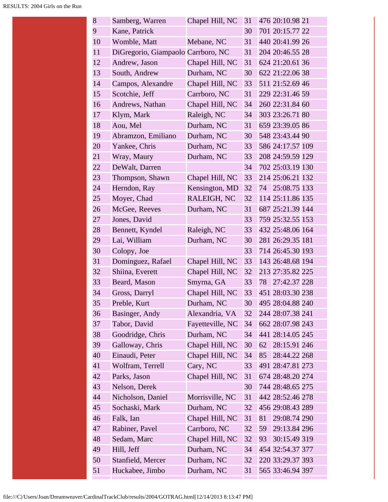| 8  | Samberg, Warren                    | Chapel Hill, NC  | 31 |    | 476 20:10.98 21  |  |
|----|------------------------------------|------------------|----|----|------------------|--|
| 9  | Kane, Patrick                      |                  | 30 |    | 701 20:15.77 22  |  |
| 10 | Womble, Matt                       | Mebane, NC       | 31 |    | 440 20:41.99 26  |  |
| 11 | DiGregorio, Giampaolo Carrboro, NC |                  | 31 |    | 204 20:46.55 28  |  |
| 12 | Andrew, Jason                      | Chapel Hill, NC  | 31 |    | 624 21:20.61 36  |  |
| 13 | South, Andrew                      | Durham, NC       | 30 |    | 622 21:22.06 38  |  |
| 14 | Campos, Alexandre                  | Chapel Hill, NC  | 33 |    | 511 21:52.69 46  |  |
| 15 | Scotchie, Jeff                     | Carrboro, NC     | 31 |    | 229 22:31.46 59  |  |
| 16 | Andrews, Nathan                    | Chapel Hill, NC  | 34 |    | 260 22:31.84 60  |  |
| 17 | Klym, Mark                         | Raleigh, NC      | 34 |    | 303 23:26.71 80  |  |
| 18 | Aou, Mel                           | Durham, NC       | 31 |    | 659 23:39.05 86  |  |
| 19 | Abramzon, Emiliano                 | Durham, NC       | 30 |    | 548 23:43.44 90  |  |
| 20 | Yankee, Chris                      | Durham, NC       | 33 |    | 586 24:17.57 109 |  |
| 21 | Wray, Maury                        | Durham, NC       | 33 |    | 208 24:59.59 129 |  |
| 22 | DeWalt, Darren                     |                  | 34 |    | 702 25:03.19 130 |  |
| 23 | Thompson, Shawn                    | Chapel Hill, NC  | 33 |    | 214 25:06.21 132 |  |
| 24 | Herndon, Ray                       | Kensington, MD   | 32 |    | 74 25:08.75 133  |  |
| 25 | Moyer, Chad                        | RALEIGH, NC      | 32 |    | 114 25:11.86 135 |  |
| 26 | McGee, Reeves                      | Durham, NC       | 31 |    | 687 25:21.39 144 |  |
| 27 | Jones, David                       |                  | 33 |    | 759 25:32.55 153 |  |
| 28 | Bennett, Kyndel                    | Raleigh, NC      | 33 |    | 432 25:48.06 164 |  |
| 29 | Lai, William                       | Durham, NC       | 30 |    | 281 26:29.35 181 |  |
| 30 | Colopy, Joe                        |                  | 33 |    | 714 26:45.30 193 |  |
| 31 | Dominguez, Rafael                  | Chapel Hill, NC  | 33 |    | 143 26:48.68 194 |  |
| 32 | Shiina, Everett                    | Chapel Hill, NC  | 32 |    | 213 27:35.82 225 |  |
| 33 | Beard, Mason                       | Smyrna, GA       | 33 | 78 | 27:42.37 228     |  |
| 34 | Gross, Darryl                      | Chapel Hill, NC  | 33 |    | 451 28:03.30 238 |  |
| 35 | Preble, Kurt                       | Durham, NC       | 30 |    | 495 28:04.88 240 |  |
| 36 | Basinger, Andy                     | Alexandria, VA   | 32 |    | 244 28:07.38 241 |  |
| 37 | Tabor, David                       | Fayetteville, NC | 34 |    | 662 28:07.98 243 |  |
| 38 | Goodridge, Chris                   | Durham, NC       | 34 |    | 441 28:14.05 245 |  |
| 39 | Galloway, Chris                    | Chapel Hill, NC  | 30 | 62 | 28:15.91 246     |  |
| 40 | Einaudi, Peter                     | Chapel Hill, NC  | 34 | 85 | 28:44.22 268     |  |
| 41 | Wolfram, Terrell                   | Cary, NC         | 33 |    | 491 28:47.81 273 |  |
| 42 | Parks, Jason                       | Chapel Hill, NC  | 31 |    | 674 28:48.20 274 |  |
| 43 | Nelson, Derek                      |                  | 30 |    | 744 28:48.65 275 |  |
| 44 | Nicholson, Daniel                  | Morrisville, NC  | 31 |    | 442 28:52.46 278 |  |
| 45 | Sochaski, Mark                     | Durham, NC       | 32 |    | 456 29:08.43 289 |  |
| 46 | Falk, Ian                          | Chapel Hill, NC  | 31 | 81 | 29:08.74 290     |  |
| 47 | Rabiner, Pavel                     | Carrboro, NC     | 32 | 59 | 29:13.84 296     |  |
| 48 | Sedam, Marc                        | Chapel Hill, NC  | 32 | 93 | 30:15.49 319     |  |
| 49 | Hill, Jeff                         | Durham, NC       | 34 |    | 454 32:54.37 377 |  |
| 50 | Stanfield, Mercer                  | Durham, NC       | 32 |    | 220 33:29.37 393 |  |
| 51 | Huckabee, Jimbo                    | Durham, NC       | 31 |    | 565 33:46.94 397 |  |
|    |                                    |                  |    |    |                  |  |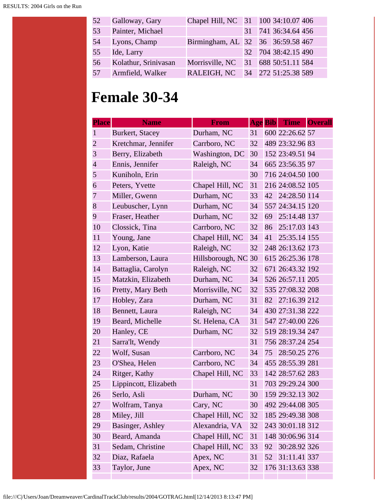| 52 | Galloway, Gary       | Chapel Hill, NC 31 100 34:10.07 406 |  |                     |  |
|----|----------------------|-------------------------------------|--|---------------------|--|
| 53 | Painter, Michael     |                                     |  | 31 741 36:34.64 456 |  |
| 54 | Lyons, Champ         | Birmingham, AL 32 36 36:59.58 467   |  |                     |  |
| 55 | Ide, Larry           |                                     |  | 32 704 38:42.15 490 |  |
| 56 | Kolathur, Srinivasan | Morrisville, NC 31 688 50:51.11 584 |  |                     |  |
| 57 | Armfield, Walker     | RALEIGH, NC 34 272 51:25.38 589     |  |                     |  |

#### **Female 30-34**

| <b>Place</b>   | <b>Name</b>           | <b>From</b>         | <b>Age Bib</b> |    | Time Overall     |  |
|----------------|-----------------------|---------------------|----------------|----|------------------|--|
| $\mathbf{1}$   | Burkert, Stacey       | Durham, NC          | 31             |    | 600 22:26.62 57  |  |
| $\overline{2}$ | Kretchmar, Jennifer   | Carrboro, NC        | 32             |    | 489 23:32.96 83  |  |
| 3              | Berry, Elizabeth      | Washington, DC      | 30             |    | 152 23:49.51 94  |  |
| $\overline{4}$ | Ennis, Jennifer       | Raleigh, NC         | 34             |    | 665 23:56.35 97  |  |
| 5              | Kuniholn, Erin        |                     | 30             |    | 716 24:04.50 100 |  |
| 6              | Peters, Yvette        | Chapel Hill, NC     | 31             |    | 216 24:08.52 105 |  |
| 7              | Miller, Gwenn         | Durham, NC          | 33             | 42 | 24:28.50 114     |  |
| 8              | Leubuscher, Lynn      | Durham, NC          | 34             |    | 557 24:34.15 120 |  |
| 9              | Fraser, Heather       | Durham, NC          | 32             | 69 | 25:14.48 137     |  |
| 10             | Clossick, Tina        | Carrboro, NC        | 32             | 86 | 25:17.03 143     |  |
| 11             | Young, Jane           | Chapel Hill, NC     | 34             | 41 | 25:35.14 155     |  |
| 12             | Lyon, Katie           | Raleigh, NC         | 32             |    | 248 26:13.62 173 |  |
| 13             | Lamberson, Laura      | Hillsborough, NC 30 |                |    | 615 26:25.36 178 |  |
| 14             | Battaglia, Carolyn    | Raleigh, NC         | 32             |    | 671 26:43.32 192 |  |
| 15             | Matzkin, Elizabeth    | Durham, NC          | 34             |    | 526 26:57.11 205 |  |
| 16             | Pretty, Mary Beth     | Morrisville, NC     | 32             |    | 535 27:08.32 208 |  |
| 17             | Hobley, Zara          | Durham, NC          | 31             | 82 | 27:16.39 212     |  |
| 18             | Bennett, Laura        | Raleigh, NC         | 34             |    | 430 27:31.38 222 |  |
| 19             | Beard, Michelle       | St. Helena, CA      | 31             |    | 547 27:40.00 226 |  |
| 20             | Hanley, CE            | Durham, NC          | 32             |    | 519 28:19.34 247 |  |
| 21             | Sarra'lt, Wendy       |                     | 31             |    | 756 28:37.24 254 |  |
| 22             | Wolf, Susan           | Carrboro, NC        | 34             | 75 | 28:50.25 276     |  |
| 23             | O'Shea, Helen         | Carrboro, NC        | 34             |    | 455 28:55.39 281 |  |
| 24             | Ritger, Kathy         | Chapel Hill, NC     | 33             |    | 142 28:57.62 283 |  |
| 25             | Lippincott, Elizabeth |                     | 31             |    | 703 29:29.24 300 |  |
| 26             | Serlo, Asli           | Durham, NC          | 30             |    | 159 29:32.13 302 |  |
| 27             | Wolfram, Tanya        | Cary, NC            | 30             |    | 492 29:44.08 305 |  |
| 28             | Miley, Jill           | Chapel Hill, NC     | 32             |    | 185 29:49.38 308 |  |
| 29             | Basinger, Ashley      | Alexandria, VA      | 32             |    | 243 30:01.18 312 |  |
| 30             | Beard, Amanda         | Chapel Hill, NC     | 31             |    | 148 30:06.96 314 |  |
| 31             | Sedam, Christine      | Chapel Hill, NC     | 33             | 92 | 30:28.92 326     |  |
| 32             | Diaz, Rafaela         | Apex, NC            | 31             | 52 | 31:11.41 337     |  |
| 33             | Taylor, June          | Apex, NC            | 32             |    | 176 31:13.63 338 |  |
|                |                       |                     |                |    |                  |  |

file:///C|/Users/Joan/Dreamweaver/CardinalTrackClub/results/2004/GOTRAG.html[12/14/2013 8:13:47 PM]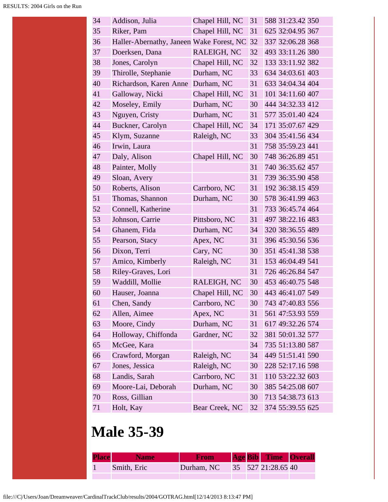| 34 | Addison, Julia                           | Chapel Hill, NC | 31 | 588 31:23.42 350 |
|----|------------------------------------------|-----------------|----|------------------|
| 35 | Riker, Pam                               | Chapel Hill, NC | 31 | 625 32:04.95 367 |
| 36 | Haller-Abernathy, Janeen Wake Forest, NC |                 | 32 | 337 32:06.28 368 |
| 37 | Doerksen, Dana                           | RALEIGH, NC     | 32 | 493 33:11.26 380 |
| 38 | Jones, Carolyn                           | Chapel Hill, NC | 32 | 133 33:11.92 382 |
| 39 | Thirolle, Stephanie                      | Durham, NC      | 33 | 634 34:03.61 403 |
| 40 | Richardson, Karen Anne                   | Durham, NC      | 31 | 633 34:04.34 404 |
| 41 | Galloway, Nicki                          | Chapel Hill, NC | 31 | 101 34:11.60 407 |
| 42 | Moseley, Emily                           | Durham, NC      | 30 | 444 34:32.33 412 |
| 43 | Nguyen, Cristy                           | Durham, NC      | 31 | 577 35:01.40 424 |
| 44 | Buckner, Carolyn                         | Chapel Hill, NC | 34 | 171 35:07.67 429 |
| 45 | Klym, Suzanne                            | Raleigh, NC     | 33 | 304 35:41.56 434 |
| 46 | Irwin, Laura                             |                 | 31 | 758 35:59.23 441 |
| 47 | Daly, Alison                             | Chapel Hill, NC | 30 | 748 36:26.89 451 |
| 48 | Painter, Molly                           |                 | 31 | 740 36:35.62 457 |
| 49 | Sloan, Avery                             |                 | 31 | 739 36:35.90 458 |
| 50 | Roberts, Alison                          | Carrboro, NC    | 31 | 192 36:38.15 459 |
| 51 | Thomas, Shannon                          | Durham, NC      | 30 | 578 36:41.99 463 |
| 52 | Connell, Katherine                       |                 | 31 | 733 36:45.74 464 |
| 53 | Johnson, Carrie                          | Pittsboro, NC   | 31 | 497 38:22.16 483 |
| 54 | Ghanem, Fida                             | Durham, NC      | 34 | 320 38:36.55 489 |
| 55 | Pearson, Stacy                           | Apex, NC        | 31 | 396 45:30.56 536 |
| 56 | Dixon, Terri                             | Cary, NC        | 30 | 351 45:41.38 538 |
| 57 | Amico, Kimberly                          | Raleigh, NC     | 31 | 153 46:04.49 541 |
| 58 | Riley-Graves, Lori                       |                 | 31 | 726 46:26.84 547 |
| 59 | Waddill, Mollie                          | RALEIGH, NC     | 30 | 453 46:40.75 548 |
| 60 | Hauser, Joanna                           | Chapel Hill, NC | 30 | 443 46:41.07 549 |
| 61 | Chen, Sandy                              | Carrboro, NC    | 30 | 743 47:40.83 556 |
| 62 | Allen, Aimee                             | Apex, NC        | 31 | 561 47:53.93 559 |
| 63 | Moore, Cindy                             | Durham, NC      | 31 | 617 49:32.26 574 |
| 64 | Holloway, Chiffonda                      | Gardner, NC     | 32 | 381 50:01.32 577 |
| 65 | McGee, Kara                              |                 | 34 | 735 51:13.80 587 |
| 66 | Crawford, Morgan                         | Raleigh, NC     | 34 | 449 51:51.41 590 |
| 67 | Jones, Jessica                           | Raleigh, NC     | 30 | 228 52:17.16 598 |
| 68 | Landis, Sarah                            | Carrboro, NC    | 31 | 110 53:22.32 603 |
| 69 | Moore-Lai, Deborah                       | Durham, NC      | 30 | 385 54:25.08 607 |
| 70 | Ross, Gillian                            |                 | 30 | 713 54:38.73 613 |
| 71 | Holt, Kay                                | Bear Creek, NC  | 32 | 374 55:39.55 625 |
|    |                                          |                 |    |                  |

# **Male 35-39**

| <b>Place</b> | <b>Name</b> | <b>From</b> |  | <b>Age Bib</b> Time Overall |  |
|--------------|-------------|-------------|--|-----------------------------|--|
|              | Smith, Eric | Durham, NC  |  | 35 527 21:28.65 40          |  |
|              |             |             |  |                             |  |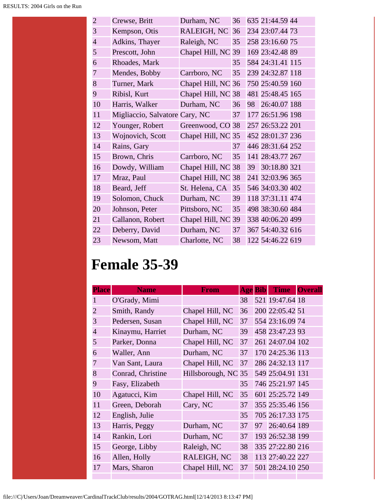| $\overline{2}$ | Crewse, Britt                  | Durham, NC         | 36 |    | 635 21:44.59 44  |  |
|----------------|--------------------------------|--------------------|----|----|------------------|--|
| 3              | Kempson, Otis                  | RALEIGH, NC        | 36 |    | 234 23:07.44 73  |  |
| $\overline{4}$ | Adkins, Thayer                 | Raleigh, NC        | 35 |    | 258 23:16.60 75  |  |
| 5              | Prescott, John                 | Chapel Hill, NC 39 |    |    | 169 23:42.48 89  |  |
| 6              | Rhoades, Mark                  |                    | 35 |    | 584 24:31.41 115 |  |
| 7              | Mendes, Bobby                  | Carrboro, NC       | 35 |    | 239 24:32.87 118 |  |
| 8              | Turner, Mark                   | Chapel Hill, NC 36 |    |    | 750 25:40.59 160 |  |
| 9              | Ribisl, Kurt                   | Chapel Hill, NC 38 |    |    | 481 25:48.45 165 |  |
| 10             | Harris, Walker                 | Durham, NC         | 36 | 98 | 26:40.07 188     |  |
| 11             | Migliaccio, Salvatore Cary, NC |                    | 37 |    | 177 26:51.96 198 |  |
| 12             | Younger, Robert                | Greenwood, CO 38   |    |    | 257 26:53.22 201 |  |
| 13             | Wojnovich, Scott               | Chapel Hill, NC 35 |    |    | 452 28:01.37 236 |  |
| 14             | Rains, Gary                    |                    | 37 |    | 446 28:31.64 252 |  |
| 15             | Brown, Chris                   | Carrboro, NC       | 35 |    | 141 28:43.77 267 |  |
| 16             | Dowdy, William                 | Chapel Hill, NC 38 |    | 39 | 30:18.80 321     |  |
| 17             | Mraz, Paul                     | Chapel Hill, NC 38 |    |    | 241 32:03.96 365 |  |
| 18             | Beard, Jeff                    | St. Helena, CA     | 35 |    | 546 34:03.30 402 |  |
| 19             | Solomon, Chuck                 | Durham, NC         | 39 |    | 118 37:31.11 474 |  |
| 20             | Johnson, Peter                 | Pittsboro, NC      | 35 |    | 498 38:30.60 484 |  |
| 21             | Callanon, Robert               | Chapel Hill, NC 39 |    |    | 338 40:06.20 499 |  |
| 22             | Deberry, David                 | Durham, NC         | 37 |    | 367 54:40.32 616 |  |
| 23             | Newsom, Matt                   | Charlotte, NC      | 38 |    | 122 54:46.22 619 |  |

# **Female 35-39**

| <b>Place</b>   | <b>Name</b>       | From                | <b>Age Bib</b> | <b>Time</b>      | <b>Overall</b> |
|----------------|-------------------|---------------------|----------------|------------------|----------------|
| $\mathbf{1}$   | O'Grady, Mimi     |                     | 38             | 521 19:47.64 18  |                |
| $\overline{2}$ | Smith, Randy      | Chapel Hill, NC     | 36             | 200 22:05.42 51  |                |
| 3              | Pedersen, Susan   | Chapel Hill, NC     | 37             | 554 23:16.09 74  |                |
| $\overline{4}$ | Kinaymu, Harriet  | Durham, NC          | 39             | 458 23:47.23 93  |                |
| 5              | Parker, Donna     | Chapel Hill, NC     | 37             | 261 24:07.04 102 |                |
| 6              | Waller, Ann       | Durham, NC          | 37             | 170 24:25.36 113 |                |
| 7              | Van Sant, Laura   | Chapel Hill, NC     | 37             | 286 24:32.13 117 |                |
| 8              | Conrad, Christine | Hillsborough, NC 35 |                | 549 25:04.91 131 |                |
| 9              | Fasy, Elizabeth   |                     | 35             | 746 25:21.97 145 |                |
| 10             | Agatucci, Kim     | Chapel Hill, NC     | 35             | 601 25:25.72 149 |                |
| 11             | Green, Deborah    | Cary, NC            | 37             | 355 25:35.46 156 |                |
| 12             | English, Julie    |                     | 35             | 705 26:17.33 175 |                |
| 13             | Harris, Peggy     | Durham, NC          | 37             | 97 26:40.64 189  |                |
| 14             | Rankin, Lori      | Durham, NC          | 37             | 193 26:52.38 199 |                |
| 15             | George, Libby     | Raleigh, NC         | 38             | 335 27:22.80 216 |                |
| 16             | Allen, Holly      | RALEIGH, NC         | 38             | 113 27:40.22 227 |                |
| 17             | Mars, Sharon      | Chapel Hill, NC     | 37             | 501 28:24.10 250 |                |
|                |                   |                     |                |                  |                |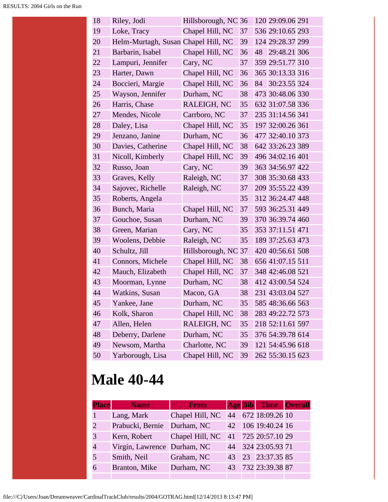| 18 | Riley, Jodi                         | Hillsborough, NC 36 |    |    | 120 29:09.06 291 |  |
|----|-------------------------------------|---------------------|----|----|------------------|--|
| 19 | Loke, Tracy                         | Chapel Hill, NC     | 37 |    | 536 29:10.65 293 |  |
| 20 | Helm-Murtagh, Susan Chapel Hill, NC |                     | 39 |    | 124 29:28.37 299 |  |
| 21 | Barbarin, Isabel                    | Chapel Hill, NC     | 36 | 48 | 29:48.21 306     |  |
| 22 | Lampuri, Jennifer                   | Cary, NC            | 37 |    | 359 29:51.77 310 |  |
| 23 | Harter, Dawn                        | Chapel Hill, NC     | 36 |    | 365 30:13.33 316 |  |
| 24 | Boccieri, Margie                    | Chapel Hill, NC     | 36 |    | 84 30:23.55 324  |  |
| 25 | Wayson, Jennifer                    | Durham, NC          | 38 |    | 473 30:48.06 330 |  |
| 26 | Harris, Chase                       | RALEIGH, NC         | 35 |    | 632 31:07.58 336 |  |
| 27 | Mendes, Nicole                      | Carrboro, NC        | 37 |    | 235 31:14.56 341 |  |
| 28 | Daley, Lisa                         | Chapel Hill, NC     | 35 |    | 197 32:00.26 361 |  |
| 29 | Jenzano, Janine                     | Durham, NC          | 36 |    | 477 32:40.10 373 |  |
| 30 | Davies, Catherine                   | Chapel Hill, NC     | 38 |    | 642 33:26.23 389 |  |
| 31 | Nicoll, Kimberly                    | Chapel Hill, NC     | 39 |    | 496 34:02.16 401 |  |
| 32 | Russo, Joan                         | Cary, NC            | 39 |    | 363 34:56.97 422 |  |
| 33 | Graves, Kelly                       | Raleigh, NC         | 37 |    | 308 35:30.68 433 |  |
| 34 | Sajovec, Richelle                   | Raleigh, NC         | 37 |    | 209 35:55.22 439 |  |
| 35 | Roberts, Angela                     |                     | 35 |    | 312 36:24.47 448 |  |
| 36 | Bunch, Maria                        | Chapel Hill, NC     | 37 |    | 593 36:25.31 449 |  |
| 37 | Gouchoe, Susan                      | Durham, NC          | 39 |    | 370 36:39.74 460 |  |
| 38 | Green, Marian                       | Cary, NC            | 35 |    | 353 37:11.51 471 |  |
| 39 | Woolens, Debbie                     | Raleigh, NC         | 35 |    | 189 37:25.63 473 |  |
| 40 | Schultz, Jill                       | Hillsborough, NC 37 |    |    | 420 40:56.61 508 |  |
| 41 | Connors, Michele                    | Chapel Hill, NC     | 38 |    | 656 41:07.15 511 |  |
| 42 | Mauch, Elizabeth                    | Chapel Hill, NC     | 37 |    | 348 42:46.08 521 |  |
| 43 | Moorman, Lynne                      | Durham, NC          | 38 |    | 412 43:00.54 524 |  |
| 44 | Watkins, Susan                      | Macon, GA           | 38 |    | 231 43:03.04 527 |  |
| 45 | Yankee, Jane                        | Durham, NC          | 35 |    | 585 48:36.66 563 |  |
| 46 | Kolk, Sharon                        | Chapel Hill, NC     | 38 |    | 283 49:22.72 573 |  |
| 47 | Allen, Helen                        | RALEIGH, NC         | 35 |    | 218 52:11.61 597 |  |
| 48 | Deberry, Darlene                    | Durham, NC          | 35 |    | 376 54:39.78 614 |  |
| 49 | Newsom, Martha                      | Charlotte, NC       | 39 |    | 121 54:45.96 618 |  |
| 50 | Yarborough, Lisa                    | Chapel Hill, NC     | 39 |    | 262 55:30.15 623 |  |

#### **Male 40-44**

| <b>Place</b>                | <b>Name</b>                 | <b>From</b>     |    | <b>Age Bib Time Overall</b> |  |
|-----------------------------|-----------------------------|-----------------|----|-----------------------------|--|
|                             | Lang, Mark                  | Chapel Hill, NC |    | 44 672 18:09.26 10          |  |
| $\mathcal{D}_{\mathcal{L}}$ | Prabucki, Bernie            | Durham, NC      |    | 42 106 19:40.24 16          |  |
| 3                           | Kern, Robert                | Chapel Hill, NC |    | 41 725 20:57.10 29          |  |
| $\overline{4}$              | Virgin, Lawrence Durham, NC |                 |    | 44 324 23:05.93 71          |  |
|                             | Smith, Neil                 | Graham, NC      | 43 | 23 23:37.35 85              |  |
|                             | Branton, Mike               | Durham, NC      |    | 43 732 23:39.38 87          |  |
|                             |                             |                 |    |                             |  |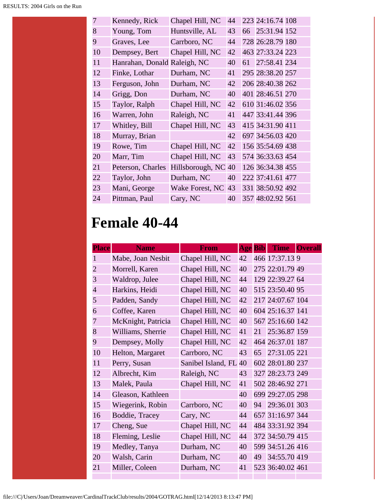| $\overline{7}$ | Kennedy, Rick                | Chapel Hill, NC     | 44 |    | 223 24:16.74 108 |  |
|----------------|------------------------------|---------------------|----|----|------------------|--|
| 8              | Young, Tom                   | Huntsville, AL      | 43 | 66 | 25:31.94 152     |  |
| 9              | Graves, Lee                  | Carrboro, NC        | 44 |    | 728 26:28.79 180 |  |
| 10             | Dempsey, Bert                | Chapel Hill, NC     | 42 |    | 463 27:33.24 223 |  |
| 11             | Hanrahan, Donald Raleigh, NC |                     | 40 | 61 | 27:58.41 234     |  |
| 12             | Finke, Lothar                | Durham, NC          | 41 |    | 295 28:38.20 257 |  |
| 13             | Ferguson, John               | Durham, NC          | 42 |    | 206 28:40.38 262 |  |
| 14             | Grigg, Don                   | Durham, NC          | 40 |    | 401 28:46.51 270 |  |
| 15             | Taylor, Ralph                | Chapel Hill, NC     | 42 |    | 610 31:46.02 356 |  |
| 16             | Warren, John                 | Raleigh, NC         | 41 |    | 447 33:41.44 396 |  |
| 17             | Whitley, Bill                | Chapel Hill, NC     | 43 |    | 415 34:31.90 411 |  |
| 18             | Murray, Brian                |                     | 42 |    | 697 34:56.03 420 |  |
| 19             | Rowe, Tim                    | Chapel Hill, NC     | 42 |    | 156 35:54.69 438 |  |
| 20             | Marr, Tim                    | Chapel Hill, NC     | 43 |    | 574 36:33.63 454 |  |
| 21             | Peterson, Charles            | Hillsborough, NC 40 |    |    | 126 36:34.38 455 |  |
| 22             | Taylor, John                 | Durham, NC          | 40 |    | 222 37:41.61 477 |  |
| 23             | Mani, George                 | Wake Forest, NC     | 43 |    | 331 38:50.92 492 |  |
| 24             | Pittman, Paul                | Cary, NC            | 40 |    | 357 48:02.92 561 |  |

## **Female 40-44**

| <b>Place</b>   | <b>Name</b>        | From               | <b>Age Bib</b> |    |                  | Time Overall |
|----------------|--------------------|--------------------|----------------|----|------------------|--------------|
| 1              | Mabe, Joan Nesbit  | Chapel Hill, NC    | 42             |    | 466 17:37.13 9   |              |
| $\overline{2}$ | Morrell, Karen     | Chapel Hill, NC    | 40             |    | 275 22:01.79 49  |              |
| 3              | Waldrop, Julee     | Chapel Hill, NC    | 44             |    | 129 22:39.27 64  |              |
| $\overline{4}$ | Harkins, Heidi     | Chapel Hill, NC    | 40             |    | 515 23:50.40 95  |              |
| 5              | Padden, Sandy      | Chapel Hill, NC    | 42             |    | 217 24:07.67 104 |              |
| 6              | Coffee, Karen      | Chapel Hill, NC    | 40             |    | 604 25:16.37 141 |              |
| $\overline{7}$ | McKnight, Patricia | Chapel Hill, NC    | 40             |    | 567 25:16.60 142 |              |
| 8              | Williams, Sherrie  | Chapel Hill, NC    | 41             | 21 | 25:36.87 159     |              |
| 9              | Dempsey, Molly     | Chapel Hill, NC    | 42             |    | 464 26:37.01 187 |              |
| 10             | Helton, Margaret   | Carrboro, NC       | 43             | 65 | 27:31.05 221     |              |
| 11             | Perry, Susan       | Sanibel Island, FL | 40             |    | 602 28:01.80 237 |              |
| 12             | Albrecht, Kim      | Raleigh, NC        | 43             |    | 327 28:23.73 249 |              |
| 13             | Malek, Paula       | Chapel Hill, NC    | 41             |    | 502 28:46.92 271 |              |
| 14             | Gleason, Kathleen  |                    | 40             |    | 699 29:27.05 298 |              |
| 15             | Wiegerink, Robin   | Carrboro, NC       | 40             |    | 94 29:36.01 303  |              |
| 16             | Boddie, Tracey     | Cary, NC           | 44             |    | 657 31:16.97 344 |              |
| 17             | Cheng, Sue         | Chapel Hill, NC    | 44             |    | 484 33:31.92 394 |              |
| 18             | Fleming, Leslie    | Chapel Hill, NC    | 44             |    | 372 34:50.79 415 |              |
| 19             | Medley, Tanya      | Durham, NC         | 40             |    | 599 34:51.26 416 |              |
| 20             | Walsh, Carin       | Durham, NC         | 40             | 49 | 34:55.70 419     |              |
| 21             | Miller, Coleen     | Durham, NC         | 41             |    | 523 36:40.02 461 |              |
|                |                    |                    |                |    |                  |              |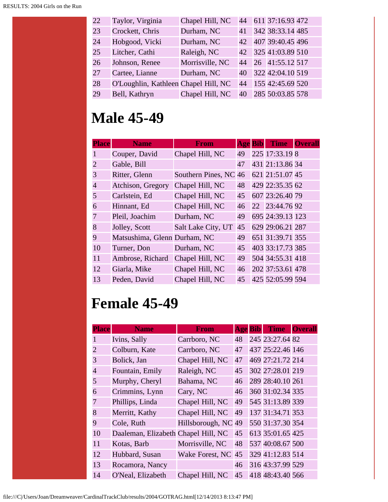| 22 | Taylor, Virginia                     | Chapel Hill, NC |    | 44 611 37:16.93 472 |  |
|----|--------------------------------------|-----------------|----|---------------------|--|
| 23 | Crockett, Chris                      | Durham, NC      | 41 | 342 38:33.14 485    |  |
| 24 | Hobgood, Vicki                       | Durham, NC      | 42 | 407 39:40.45 496    |  |
| 25 | Litcher, Cathi                       | Raleigh, NC     |    | 42 325 41:03.89 510 |  |
| 26 | Johnson, Renee                       | Morrisville, NC | 44 | 26 41:55.12 517     |  |
| 27 | Cartee, Lianne                       | Durham, NC      | 40 | 322 42:04.10 519    |  |
| 28 | O'Loughlin, Kathleen Chapel Hill, NC |                 | 44 | 155 42:45.69 520    |  |
| 29 | Bell, Kathryn                        | Chapel Hill, NC | 40 | 285 50:03.85 578    |  |

# **Male 45-49**

| <b>Place</b>                | <b>Name</b>                  | <b>From</b>           | <b>Age Bib</b> | <b>Time</b>      | <b>Overall</b> |
|-----------------------------|------------------------------|-----------------------|----------------|------------------|----------------|
|                             | Couper, David                | Chapel Hill, NC       | 49             | 225 17:33.19 8   |                |
| $\mathcal{D}_{\mathcal{L}}$ | Gable, Bill                  |                       | 47             | 431 21:13.86 34  |                |
| 3                           | Ritter, Glenn                | Southern Pines, NC 46 |                | 621 21:51.07 45  |                |
| $\overline{4}$              | Atchison, Gregory            | Chapel Hill, NC       | 48             | 429 22:35.35 62  |                |
| 5                           | Carlstein, Ed                | Chapel Hill, NC       | 45             | 607 23:26.40 79  |                |
| 6                           | Hinnant, Ed                  | Chapel Hill, NC       | 46             | 22 23:44.76 92   |                |
| 7                           | Pleil, Joachim               | Durham, NC            | 49             | 695 24:39.13 123 |                |
| 8                           | Jolley, Scott                | Salt Lake City, UT    | 45             | 629 29:06.21 287 |                |
| 9                           | Matsushima, Glenn Durham, NC |                       | 49             | 651 31:39.71 355 |                |
| 10                          | Turner, Don                  | Durham, NC            | 45             | 403 33:17.73 385 |                |
| 11                          | Ambrose, Richard             | Chapel Hill, NC       | 49             | 504 34:55.31 418 |                |
| 12                          | Giarla, Mike                 | Chapel Hill, NC       | 46             | 202 37:53.61 478 |                |
| 13                          | Peden, David                 | Chapel Hill, NC       | 45             | 425 52:05.99 594 |                |

## **Female 45-49**

| <b>Place</b>          | <b>Name</b>                         | From                | <b>Age</b> Bib | <b>Time</b>      | <b>Overall</b> |
|-----------------------|-------------------------------------|---------------------|----------------|------------------|----------------|
|                       | Ivins, Sally                        | Carrboro, NC        | 48             | 245 23:27.64 82  |                |
| $\mathcal{D}_{\cdot}$ | Colburn, Kate                       | Carrboro, NC        | 47             | 437 25:22.46 146 |                |
| 3                     | Bolick, Jan                         | Chapel Hill, NC     | 47             | 469 27:21.72 214 |                |
| $\overline{4}$        | Fountain, Emily                     | Raleigh, NC         | 45             | 302 27:28.01 219 |                |
| 5                     | Murphy, Cheryl                      | Bahama, NC          | 46             | 289 28:40.10 261 |                |
| 6                     | Crimmins, Lynn                      | Cary, NC            | 46             | 360 31:02.34 335 |                |
| 7                     | Phillips, Linda                     | Chapel Hill, NC     | 49             | 545 31:13.89 339 |                |
| 8                     | Merritt, Kathy                      | Chapel Hill, NC     | 49             | 137 31:34.71 353 |                |
| 9                     | Cole, Ruth                          | Hillsborough, NC 49 |                | 550 31:37.30 354 |                |
| 10                    | Daaleman, Elizabeth Chapel Hill, NC |                     | 45             | 613 35:01.65 425 |                |
| 11                    | Kotas, Barb                         | Morrisville, NC     | 48             | 537 40:08.67 500 |                |
| 12                    | Hubbard, Susan                      | Wake Forest, NC 45  |                | 329 41:12.83 514 |                |
| 13                    | Rocamora, Nancy                     |                     | 46             | 316 43:37.99 529 |                |
| 14                    | O'Neal, Elizabeth                   | Chapel Hill, NC     | 45             | 418 48:43.40 566 |                |